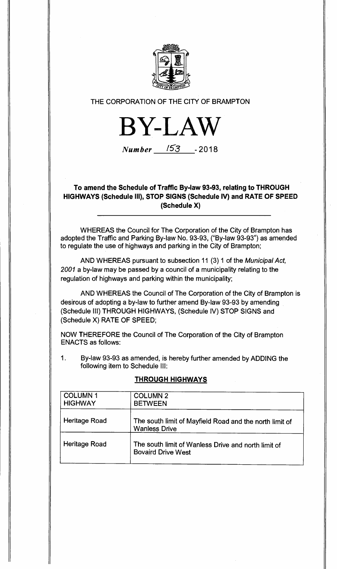

### **THE CORPORATION OF THE CITY OF BRAMPTON**



**Number**  $153$  - 2018

## **To amend the Schedule of Traffic By-law 93-93, relating to THROUGH HIGHWAYS (Schedule III), STOP SIGNS (Schedule IV) and RATE OF SPEED (Schedule X)**

**WHEREAS the Council for The Corporation of the City of Brampton has adopted the Traffic and Parking By-law No. 93-93, ("By-law 93-93") as amended to regulate the use of highways and parking in the City of Brampton;** 

**AND WHEREAS pursuant to subsection 11 (3) 1 of the Municipal Act, 2001 a by-law may be passed by a council of a municipality relating to the regulation of highways and parking within the municipality;** 

**AND WHEREAS the Council of The Corporation of the City of Brampton is desirous of adopting a by-law to further amend By-law 93-93 by amending (Schedule III) THROUGH HIGHWAYS, (Schedule IV) STOP SIGNS and (Schedule X) RATE OF SPEED;** 

**NOW THEREFORE the Council of The Corporation of the City of Brampton ENACTS as follows:** 

**1. By-law 93-93 as amended, is hereby further amended by ADDING the following item to Schedule III:** 

| <b>COLUMN1</b><br><b>HIGHWAY</b> | <b>COLUMN 2</b><br><b>BETWEEN</b>                                                |
|----------------------------------|----------------------------------------------------------------------------------|
| Heritage Road                    | The south limit of Mayfield Road and the north limit of<br><b>Wanless Drive</b>  |
| Heritage Road                    | The south limit of Wanless Drive and north limit of<br><b>Bovaird Drive West</b> |

# **THROUGH HIGHWAYS**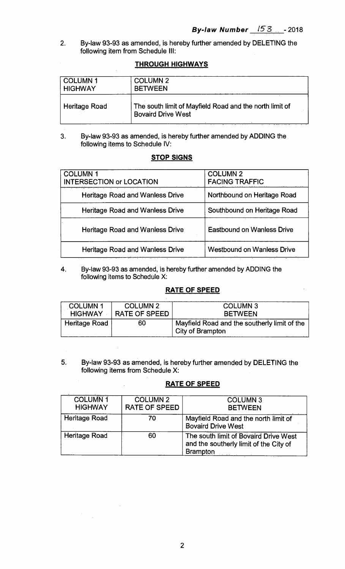2. By-law 93-93 as amended, is hereby further amended by DELETING the following item from Schedule III:

### **THROUGH HIGHWAYS**

| <b>COLUMN1</b>       | <b>COLUMN 2</b>                                                                      |
|----------------------|--------------------------------------------------------------------------------------|
| <b>HIGHWAY</b>       | <b>BETWEEN</b>                                                                       |
| <b>Heritage Road</b> | The south limit of Mayfield Road and the north limit of<br><b>Bovaird Drive West</b> |

3. By-law 93-93 as amended, is hereby further amended by ADDING the following items to Schedule IV:

# **STOP SIGNS**

| <b>COLUMN1</b><br><b>INTERSECTION or LOCATION</b> | <b>COLUMN 2</b><br><b>FACING TRAFFIC</b> |
|---------------------------------------------------|------------------------------------------|
| <b>Heritage Road and Wanless Drive</b>            | Northbound on Heritage Road              |
| <b>Heritage Road and Wanless Drive</b>            | Southbound on Heritage Road              |
| <b>Heritage Road and Wanless Drive</b>            | <b>Eastbound on Wanless Drive</b>        |
| <b>Heritage Road and Wanless Drive</b>            | <b>Westbound on Wanless Drive</b>        |

4. By-law 93-93 as amended, is hereby further amended by ADDING the following items to Schedule X:

# **RATE OF SPEED**

| <b>COLUMN1</b> | <b>COLUMN 2</b> | <b>COLUMN 3</b>                                                         |
|----------------|-----------------|-------------------------------------------------------------------------|
| <b>HIGHWAY</b> | RATE OF SPEED   | <b>BETWEEN</b>                                                          |
| Heritage Road  | 60              | Mayfield Road and the southerly limit of the<br><b>City of Brampton</b> |

5. By-law 93-93 as amended, is hereby further amended by DELETING the following items from Schedule X:

# **RATE OF SPEED**

| <b>COLUMN1</b><br><b>HIGHWAY</b> | <b>COLUMN 2</b><br><b>RATE OF SPEED</b> | <b>COLUMN3</b><br><b>BETWEEN</b>                                                                   |
|----------------------------------|-----------------------------------------|----------------------------------------------------------------------------------------------------|
| Heritage Road                    | 70                                      | Mayfield Road and the north limit of<br><b>Bovaird Drive West</b>                                  |
| <b>Heritage Road</b>             | 60                                      | The south limit of Bovaird Drive West<br>and the southerly limit of the City of<br><b>Brampton</b> |